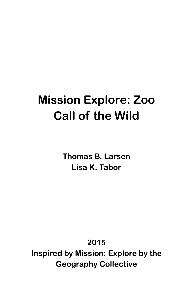# **Mission Explore: Zoo Call of the Wild**

**Thomas B. Larsen Lisa K. Tabor**

**2015**

**Inspired by Mission: Explore by the Geography Collective**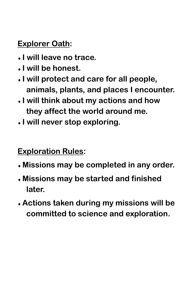### **Explorer Oath:**

- **I will leave no trace.**
- **I will be honest.**
- **I will protect and care for all people, animals, plants, and places I encounter.**
- **I will think about my actions and how they affect the world around me.**
- **I will never stop exploring.**

#### **Exploration Rules:**

- **Missions may be completed in any order.**
- **Missions may be started and finished later.**
- **Actions taken during my missions will be committed to science and exploration.**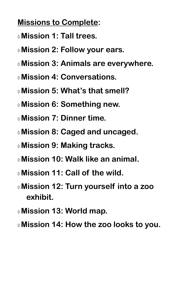#### **Missions to Complete:**

- **Mission 1: Tall trees.**
- **Mission 2: Follow your ears.**
- **Mission 3: Animals are everywhere.**
- **Mission 4: Conversations.**
- **Mission 5: What's that smell?**
- **Mission 6: Something new.**
- **Mission 7: Dinner time.**
- **Mission 8: Caged and uncaged.**
- **Mission 9: Making tracks.**
- **Mission 10: Walk like an animal.**
- **Mission 11: Call of the wild.**
- **Mission 12: Turn yourself into a zoo exhibit.**
- **Mission 13: World map.**
- **Mission 14: How the zoo looks to you.**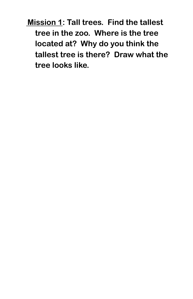**Mission 1: Tall trees. Find the tallest tree in the zoo. Where is the tree located at? Why do you think the tallest tree is there? Draw what the tree looks like.**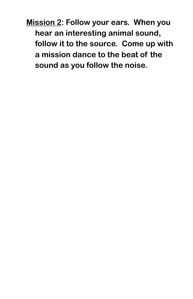**Mission 2: Follow your ears. When you hear an interesting animal sound, follow it to the source. Come up with a mission dance to the beat of the sound as you follow the noise.**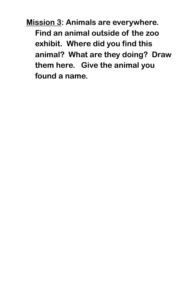**Mission 3: Animals are everywhere. Find an animal outside of the zoo exhibit. Where did you find this animal? What are they doing? Draw them here. Give the animal you found a name.**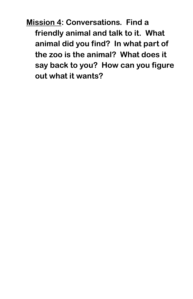**Mission 4: Conversations. Find a friendly animal and talk to it. What animal did you find? In what part of the zoo is the animal? What does it say back to you? How can you figure out what it wants?**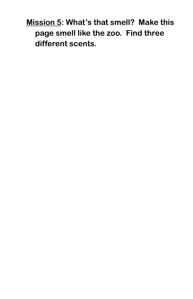**Mission 5: What's that smell? Make this page smell like the zoo. Find three different scents.**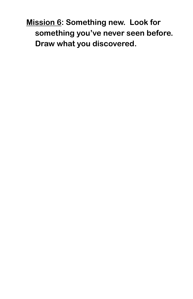**Mission 6: Something new. Look for something you've never seen before. Draw what you discovered.**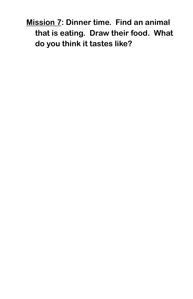**Mission 7: Dinner time. Find an animal that is eating. Draw their food. What do you think it tastes like?**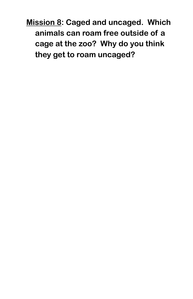**Mission 8: Caged and uncaged. Which animals can roam free outside of a cage at the zoo? Why do you think they get to roam uncaged?**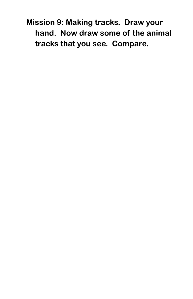**Mission 9: Making tracks. Draw your hand. Now draw some of the animal tracks that you see. Compare.**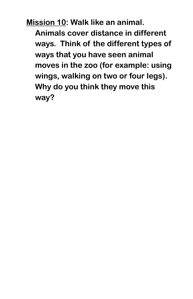**Mission 10: Walk like an animal. Animals cover distance in different** 

**ways. Think of the different types of ways that you have seen animal moves in the zoo (for example: using wings, walking on two or four legs). Why do you think they move this way?**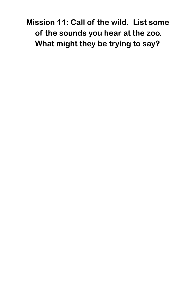**Mission 11: Call of the wild. List some of the sounds you hear at the zoo. What might they be trying to say?**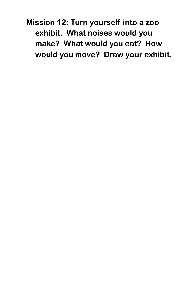**Mission 12: Turn yourself into a zoo exhibit. What noises would you make? What would you eat? How would you move? Draw your exhibit.**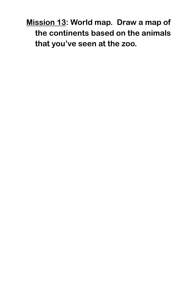**Mission 13: World map. Draw a map of the continents based on the animals that you've seen at the zoo.**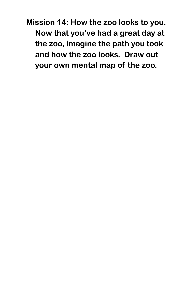**Mission 14: How the zoo looks to you. Now that you've had a great day at the zoo, imagine the path you took and how the zoo looks. Draw out your own mental map of the zoo.**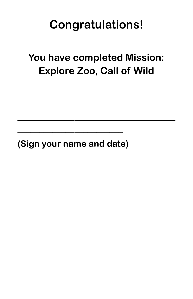## **Congratulations!**

### **You have completed Mission: Explore Zoo, Call of Wild**

**\_\_\_\_\_\_\_\_\_\_\_\_\_\_\_\_\_\_\_\_\_\_\_\_\_\_\_\_\_\_\_\_\_\_\_\_**

**(Sign your name and date)**

**\_\_\_\_\_\_\_\_\_\_\_\_\_\_\_\_\_\_\_\_\_\_\_\_**